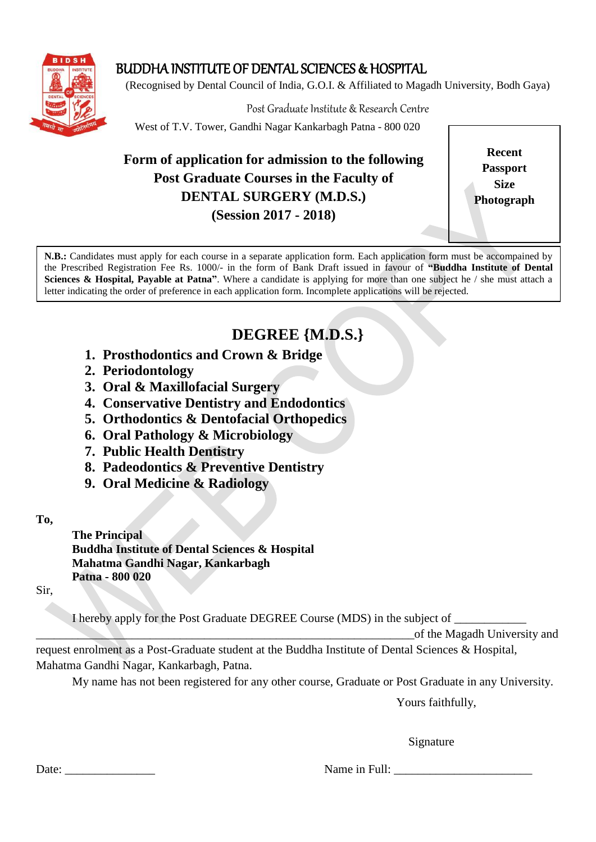

# BUDDHA INSTITUTE OF DENTAL SCIENCES & HOSPITAL

(Recognised by Dental Council of India, G.O.I. & Affiliated to Magadh University, Bodh Gaya)

Post Graduate Institute & Research Centre

West of T.V. Tower, Gandhi Nagar Kankarbagh Patna - 800 020

# **Form of application for admission to the following Post Graduate Courses in the Faculty of DENTAL SURGERY (M.D.S.) (Session 2017 - 2018)**

**Recent Passport Size Photograph**

**N.B.:** Candidates must apply for each course in a separate application form. Each application form must be accompained by the Prescribed Registration Fee Rs. 1000/- in the form of Bank Draft issued in favour of **"Buddha Institute of Dental Sciences & Hospital, Payable at Patna"**. Where a candidate is applying for more than one subject he / she must attach a letter indicating the order of preference in each application form. Incomplete applications will be rejected.

# **DEGREE {M.D.S.}**

- **1. Prosthodontics and Crown & Bridge**
- **2. Periodontology**
- **3. Oral & Maxillofacial Surgery**
- **4. Conservative Dentistry and Endodontics**
- **5. Orthodontics & Dentofacial Orthopedics**
- **6. Oral Pathology & Microbiology**
- **7. Public Health Dentistry**
- **8. Padeodontics & Preventive Dentistry**
- **9. Oral Medicine & Radiology**

#### **To,**

**The Principal Buddha Institute of Dental Sciences & Hospital Mahatma Gandhi Nagar, Kankarbagh Patna - 800 020** 

Sir,

I hereby apply for the Post Graduate DEGREE Course (MDS) in the subject of \_\_\_\_\_\_\_\_\_\_\_\_

\_\_\_\_\_\_\_\_\_\_\_\_\_\_\_\_\_\_\_\_\_\_\_\_\_\_\_\_\_\_\_\_\_\_\_\_\_\_\_\_\_\_\_\_\_\_\_\_\_\_\_\_\_\_\_\_\_\_\_\_\_\_\_of the Magadh University and

request enrolment as a Post-Graduate student at the Buddha Institute of Dental Sciences & Hospital, Mahatma Gandhi Nagar, Kankarbagh, Patna.

My name has not been registered for any other course, Graduate or Post Graduate in any University.

Yours faithfully,

Signature

Date: \_\_\_\_\_\_\_\_\_\_\_\_\_\_\_ Name in Full: \_\_\_\_\_\_\_\_\_\_\_\_\_\_\_\_\_\_\_\_\_\_\_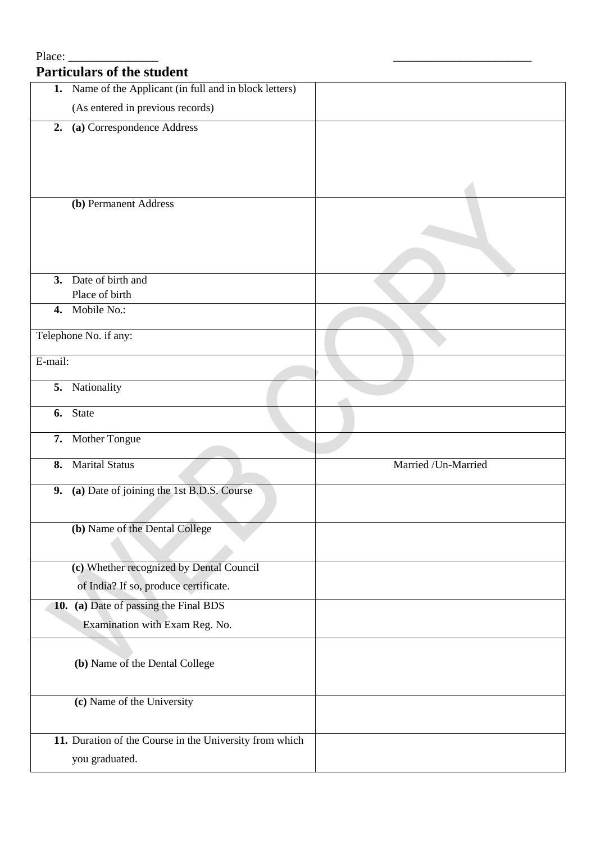# Place: **Particulars of the student 1.** Name of the Applicant (in full and in block letters) (As entered in previous records) **2. (a)** Correspondence Address **(b)** Permanent Address **3.** Date of birth and Place of birth **4.** Mobile No.: Telephone No. if any: E-mail: **5.** Nationality **6.** State **7.** Mother Tongue **8.** Marital Status Married /Un-Married **9. (a)** Date of joining the 1st B.D.S. Course **(b)** Name of the Dental College **(c)** Whether recognized by Dental Council of India? If so, produce certificate. **10. (a)** Date of passing the Final BDS Examination with Exam Reg. No. **(b)** Name of the Dental College **(c)** Name of the University **11.** Duration of the Course in the University from which you graduated.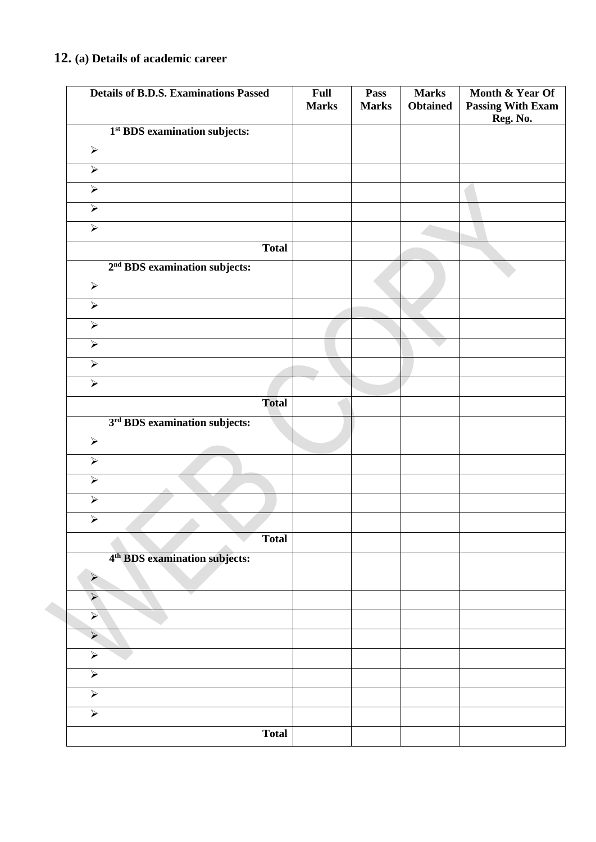### **12. (a) Details of academic career**

| <b>Details of B.D.S. Examinations Passed</b> |              | Full<br><b>Marks</b> | Pass<br><b>Marks</b> | <b>Marks</b><br><b>Obtained</b> | Month & Year Of<br><b>Passing With Exam</b><br>Reg. No. |
|----------------------------------------------|--------------|----------------------|----------------------|---------------------------------|---------------------------------------------------------|
| 1 <sup>st</sup> BDS examination subjects:    |              |                      |                      |                                 |                                                         |
| $\blacktriangleright$                        |              |                      |                      |                                 |                                                         |
| $\blacktriangleright$                        |              |                      |                      |                                 |                                                         |
| $\blacktriangleright$                        |              |                      |                      |                                 |                                                         |
| $\blacktriangleright$                        |              |                      |                      |                                 |                                                         |
| $\blacktriangleright$                        |              |                      |                      |                                 |                                                         |
|                                              | <b>Total</b> |                      |                      |                                 |                                                         |
| 2 <sup>nd</sup> BDS examination subjects:    |              |                      |                      |                                 |                                                         |
| $\blacktriangleright$                        |              |                      |                      |                                 |                                                         |
| $\blacktriangleright$                        |              |                      |                      |                                 |                                                         |
| $\blacktriangleright$                        |              |                      |                      |                                 |                                                         |
| $\blacktriangleright$                        |              |                      |                      |                                 |                                                         |
| $\blacktriangleright$                        |              |                      |                      |                                 |                                                         |
| $\blacktriangleright$                        |              |                      |                      |                                 |                                                         |
|                                              | <b>Total</b> |                      |                      |                                 |                                                         |
| 3 <sup>rd</sup> BDS examination subjects:    |              |                      |                      |                                 |                                                         |
| $\blacktriangleright$                        |              |                      |                      |                                 |                                                         |
| $\blacktriangleright$                        |              |                      |                      |                                 |                                                         |
| $\blacktriangleright$                        |              |                      |                      |                                 |                                                         |
| $\blacktriangleright$                        |              |                      |                      |                                 |                                                         |
| $\blacktriangleright$                        |              |                      |                      |                                 |                                                         |
|                                              | <b>Total</b> |                      |                      |                                 |                                                         |
| 4 <sup>th</sup> BDS examination subjects:    |              |                      |                      |                                 |                                                         |
| $\blacktriangleright$                        |              |                      |                      |                                 |                                                         |
| $\blacktriangleright$                        |              |                      |                      |                                 |                                                         |
| $\blacktriangleright$                        |              |                      |                      |                                 |                                                         |
| $\blacktriangleright$                        |              |                      |                      |                                 |                                                         |
| $\blacktriangleright$                        |              |                      |                      |                                 |                                                         |
| $\blacktriangleright$                        |              |                      |                      |                                 |                                                         |
| $\blacktriangleright$                        |              |                      |                      |                                 |                                                         |
| $\blacktriangleright$                        |              |                      |                      |                                 |                                                         |
|                                              | <b>Total</b> |                      |                      |                                 |                                                         |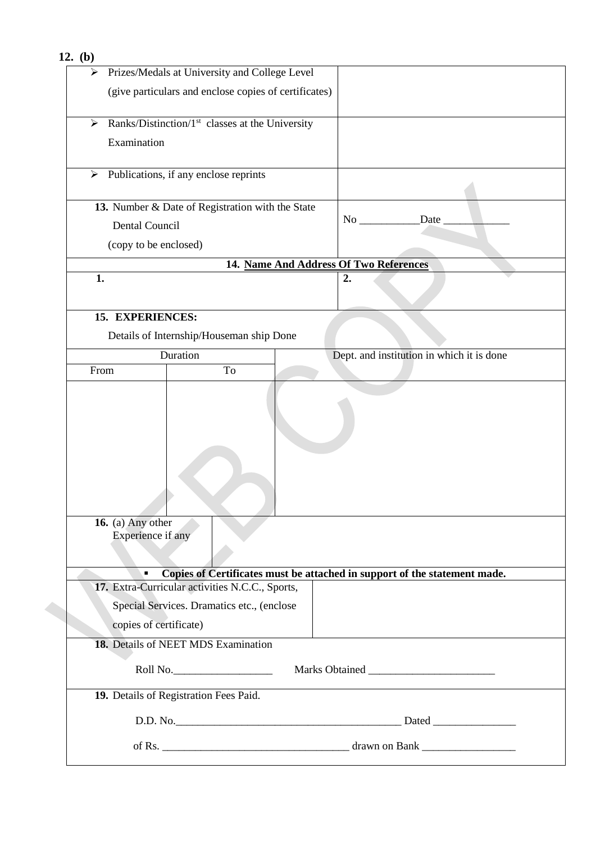| 12. $(b)$                                                         |                                                                           |
|-------------------------------------------------------------------|---------------------------------------------------------------------------|
| Prizes/Medals at University and College Level<br>➤                |                                                                           |
| (give particulars and enclose copies of certificates)             |                                                                           |
|                                                                   |                                                                           |
| Ranks/Distinction/1 <sup>st</sup> classes at the University<br>➤  |                                                                           |
| Examination                                                       |                                                                           |
|                                                                   |                                                                           |
| $\triangleright$ Publications, if any enclose reprints            |                                                                           |
| 13. Number & Date of Registration with the State                  |                                                                           |
| Dental Council                                                    | Date                                                                      |
|                                                                   |                                                                           |
| (copy to be enclosed)                                             |                                                                           |
| 1.                                                                | 14. Name And Address Of Two References<br>2.                              |
|                                                                   |                                                                           |
| 15. EXPERIENCES:                                                  |                                                                           |
|                                                                   |                                                                           |
| Details of Internship/Houseman ship Done                          |                                                                           |
| Duration<br>To<br>From                                            | Dept. and institution in which it is done                                 |
|                                                                   |                                                                           |
|                                                                   |                                                                           |
|                                                                   |                                                                           |
|                                                                   |                                                                           |
|                                                                   |                                                                           |
|                                                                   |                                                                           |
|                                                                   |                                                                           |
|                                                                   |                                                                           |
| 16. (a) Any other                                                 |                                                                           |
| Experience if any                                                 |                                                                           |
|                                                                   |                                                                           |
| $\blacksquare$<br>17. Extra-Curricular activities N.C.C., Sports, | Copies of Certificates must be attached in support of the statement made. |
|                                                                   |                                                                           |
| Special Services. Dramatics etc., (enclose                        |                                                                           |
| copies of certificate)                                            |                                                                           |
| 18. Details of NEET MDS Examination                               |                                                                           |
| Roll No.                                                          |                                                                           |
| 19. Details of Registration Fees Paid.                            |                                                                           |
|                                                                   |                                                                           |
|                                                                   |                                                                           |
|                                                                   |                                                                           |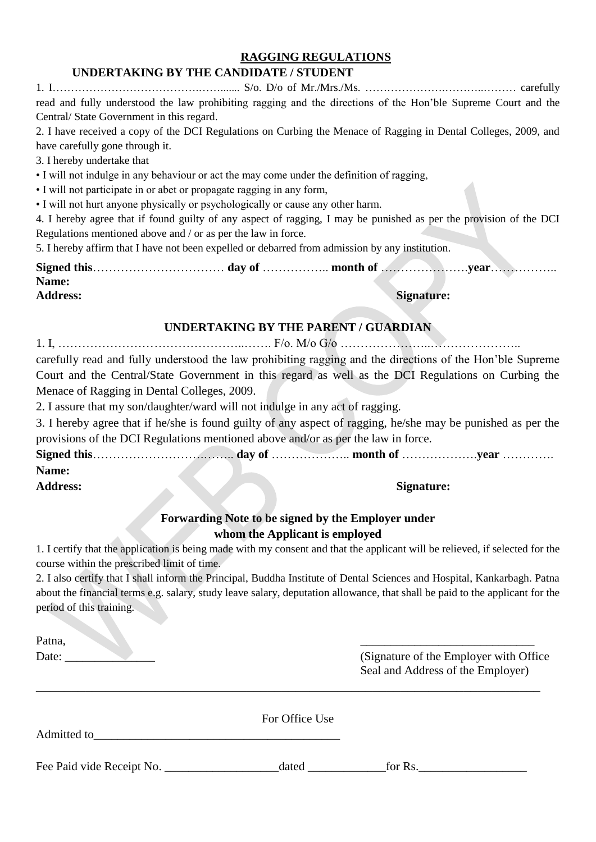#### **RAGGING REGULATIONS**

#### **UNDERTAKING BY THE CANDIDATE / STUDENT**

1. I………………………………….……....... S/o. D/o of Mr./Mrs./Ms. ………………….………..……… carefully read and fully understood the law prohibiting ragging and the directions of the Hon'ble Supreme Court and the Central/ State Government in this regard.

2. I have received a copy of the DCI Regulations on Curbing the Menace of Ragging in Dental Colleges, 2009, and have carefully gone through it.

3. I hereby undertake that

• I will not indulge in any behaviour or act the may come under the definition of ragging,

• I will not participate in or abet or propagate ragging in any form,

• I will not hurt anyone physically or psychologically or cause any other harm.

4. I hereby agree that if found guilty of any aspect of ragging, I may be punished as per the provision of the DCI Regulations mentioned above and / or as per the law in force.

5. I hereby affirm that I have not been expelled or debarred from admission by any institution.

| Name:           |  |            |  |
|-----------------|--|------------|--|
| <b>Address:</b> |  | Signature: |  |

#### **UNDERTAKING BY THE PARENT / GUARDIAN**

| carefully read and fully understood the law prohibiting ragging and the directions of the Hon'ble Supreme |
|-----------------------------------------------------------------------------------------------------------|
| Court and the Central/State Government in this regard as well as the DCI Regulations on Curbing the       |
| Menace of Ragging in Dental Colleges, 2009.                                                               |

2. I assure that my son/daughter/ward will not indulge in any act of ragging.

3. I hereby agree that if he/she is found guilty of any aspect of ragging, he/she may be punished as per the provisions of the DCI Regulations mentioned above and/or as per the law in force.

**Signed this**……………………….…….. **day of** ……………….. **month of** ……………….**year** …………. **Name:** 

**Address: Signature:**

#### **Forwarding Note to be signed by the Employer under whom the Applicant is employed**

1. I certify that the application is being made with my consent and that the applicant will be relieved, if selected for the course within the prescribed limit of time.

2. I also certify that I shall inform the Principal, Buddha Institute of Dental Sciences and Hospital, Kankarbagh. Patna about the financial terms e.g. salary, study leave salary, deputation allowance, that shall be paid to the applicant for the period of this training.

Patna, and the contract of the contract of the contract of the contract of the contract of the contract of the contract of the contract of the contract of the contract of the contract of the contract of the contract of the

Date: (Signature of the Employer with Office Seal and Address of the Employer)

| Admitted to               | For Office Use |         |
|---------------------------|----------------|---------|
| Fee Paid vide Receipt No. | dated          | for Rs. |

\_\_\_\_\_\_\_\_\_\_\_\_\_\_\_\_\_\_\_\_\_\_\_\_\_\_\_\_\_\_\_\_\_\_\_\_\_\_\_\_\_\_\_\_\_\_\_\_\_\_\_\_\_\_\_\_\_\_\_\_\_\_\_\_\_\_\_\_\_\_\_\_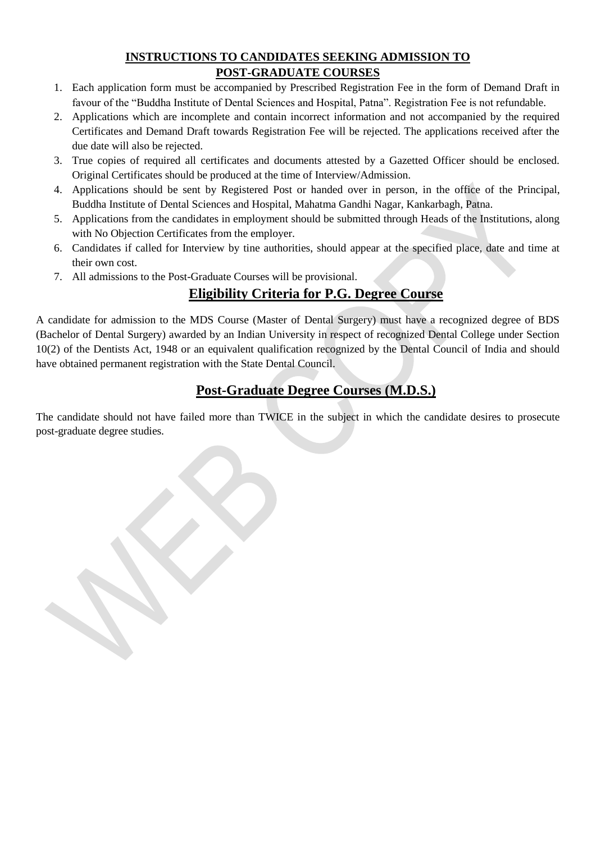#### **INSTRUCTIONS TO CANDIDATES SEEKING ADMISSION TO POST-GRADUATE COURSES**

- 1. Each application form must be accompanied by Prescribed Registration Fee in the form of Demand Draft in favour of the "Buddha Institute of Dental Sciences and Hospital, Patna". Registration Fee is not refundable.
- 2. Applications which are incomplete and contain incorrect information and not accompanied by the required Certificates and Demand Draft towards Registration Fee will be rejected. The applications received after the due date will also be rejected.
- 3. True copies of required all certificates and documents attested by a Gazetted Officer should be enclosed. Original Certificates should be produced at the time of Interview/Admission.
- 4. Applications should be sent by Registered Post or handed over in person, in the office of the Principal, Buddha Institute of Dental Sciences and Hospital, Mahatma Gandhi Nagar, Kankarbagh, Patna.
- 5. Applications from the candidates in employment should be submitted through Heads of the Institutions, along with No Objection Certificates from the employer.
- 6. Candidates if called for Interview by tine authorities, should appear at the specified place, date and time at their own cost.
- 7. All admissions to the Post-Graduate Courses will be provisional.

## **Eligibility Criteria for P.G. Degree Course**

A candidate for admission to the MDS Course (Master of Dental Surgery) must have a recognized degree of BDS (Bachelor of Dental Surgery) awarded by an Indian University in respect of recognized Dental College under Section 10(2) of the Dentists Act, 1948 or an equivalent qualification recognized by the Dental Council of India and should have obtained permanent registration with the State Dental Council.

# **Post-Graduate Degree Courses (M.D.S.)**

The candidate should not have failed more than TWICE in the subject in which the candidate desires to prosecute post-graduate degree studies.